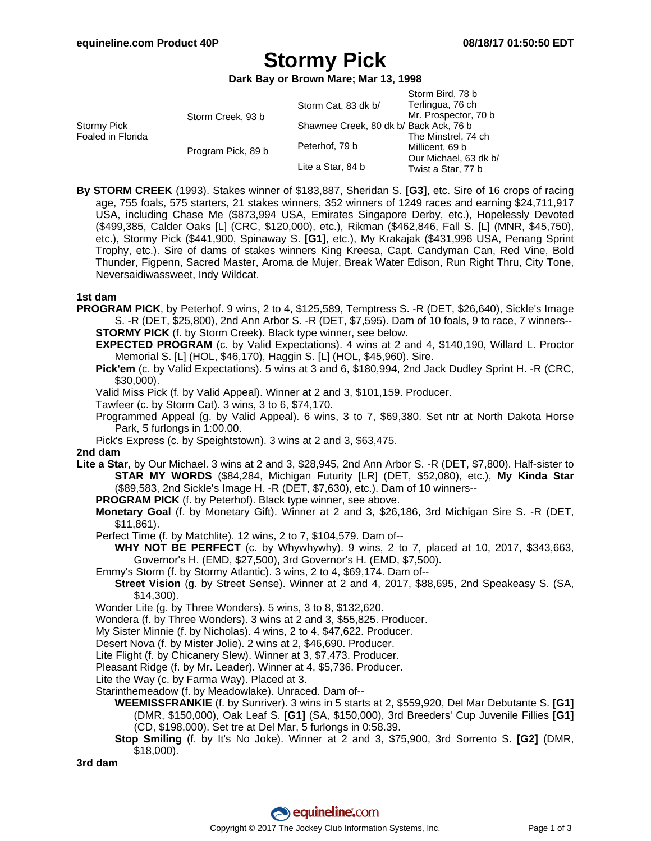# **Stormy Pick**

**Dark Bay or Brown Mare; Mar 13, 1998**

|                                  |                    |                                        | Storm Bird, 78 b      |
|----------------------------------|--------------------|----------------------------------------|-----------------------|
| Stormy Pick<br>Foaled in Florida | Storm Creek, 93 b  | Storm Cat, 83 dk b/                    | Terlingua, 76 ch      |
|                                  |                    |                                        | Mr. Prospector, 70 b  |
|                                  |                    | Shawnee Creek, 80 dk b/ Back Ack, 76 b |                       |
|                                  |                    |                                        | The Minstrel, 74 ch   |
|                                  | Program Pick, 89 b | Peterhof, 79 b                         | Millicent, 69 b       |
|                                  |                    | Lite a Star, 84 b                      | Our Michael, 63 dk b/ |
|                                  |                    |                                        | Twist a Star, 77 b    |
|                                  |                    |                                        |                       |

**By STORM CREEK** (1993). Stakes winner of \$183,887, Sheridan S. **[G3]**, etc. Sire of 16 crops of racing age, 755 foals, 575 starters, 21 stakes winners, 352 winners of 1249 races and earning \$24,711,917 USA, including Chase Me (\$873,994 USA, Emirates Singapore Derby, etc.), Hopelessly Devoted (\$499,385, Calder Oaks [L] (CRC, \$120,000), etc.), Rikman (\$462,846, Fall S. [L] (MNR, \$45,750), etc.), Stormy Pick (\$441,900, Spinaway S. **[G1]**, etc.), My Krakajak (\$431,996 USA, Penang Sprint Trophy, etc.). Sire of dams of stakes winners King Kreesa, Capt. Candyman Can, Red Vine, Bold Thunder, Figpenn, Sacred Master, Aroma de Mujer, Break Water Edison, Run Right Thru, City Tone, Neversaidiwassweet, Indy Wildcat.

### **1st dam**

**PROGRAM PICK**, by Peterhof. 9 wins, 2 to 4, \$125,589, Temptress S. -R (DET, \$26,640), Sickle's Image S. -R (DET, \$25,800), 2nd Ann Arbor S. -R (DET, \$7,595). Dam of 10 foals, 9 to race, 7 winners-- **STORMY PICK** (f. by Storm Creek). Black type winner, see below.

**EXPECTED PROGRAM** (c. by Valid Expectations). 4 wins at 2 and 4, \$140,190, Willard L. Proctor Memorial S. [L] (HOL, \$46,170), Haggin S. [L] (HOL, \$45,960). Sire.

- **Pick'em** (c. by Valid Expectations). 5 wins at 3 and 6, \$180,994, 2nd Jack Dudley Sprint H. -R (CRC, \$30,000).
- Valid Miss Pick (f. by Valid Appeal). Winner at 2 and 3, \$101,159. Producer.
- Tawfeer (c. by Storm Cat). 3 wins, 3 to 6, \$74,170.
- Programmed Appeal (g. by Valid Appeal). 6 wins, 3 to 7, \$69,380. Set ntr at North Dakota Horse Park, 5 furlongs in 1:00.00.
- Pick's Express (c. by Speightstown). 3 wins at 2 and 3, \$63,475.

### **2nd dam**

**Lite a Star**, by Our Michael. 3 wins at 2 and 3, \$28,945, 2nd Ann Arbor S. -R (DET, \$7,800). Half-sister to **STAR MY WORDS** (\$84,284, Michigan Futurity [LR] (DET, \$52,080), etc.), **My Kinda Star** (\$89,583, 2nd Sickle's Image H. -R (DET, \$7,630), etc.). Dam of 10 winners--

- **PROGRAM PICK** (f. by Peterhof). Black type winner, see above.
- **Monetary Goal** (f. by Monetary Gift). Winner at 2 and 3, \$26,186, 3rd Michigan Sire S. -R (DET, \$11,861).
- Perfect Time (f. by Matchlite). 12 wins, 2 to 7, \$104,579. Dam of--

**WHY NOT BE PERFECT** (c. by Whywhywhy). 9 wins, 2 to 7, placed at 10, 2017, \$343,663, Governor's H. (EMD, \$27,500), 3rd Governor's H. (EMD, \$7,500).

Emmy's Storm (f. by Stormy Atlantic). 3 wins, 2 to 4, \$69,174. Dam of--

**Street Vision** (g. by Street Sense). Winner at 2 and 4, 2017, \$88,695, 2nd Speakeasy S. (SA, \$14,300).

Wonder Lite (g. by Three Wonders). 5 wins, 3 to 8, \$132,620.

Wondera (f. by Three Wonders). 3 wins at 2 and 3, \$55,825. Producer.

My Sister Minnie (f. by Nicholas). 4 wins, 2 to 4, \$47,622. Producer.

- Desert Nova (f. by Mister Jolie). 2 wins at 2, \$46,690. Producer.
- Lite Flight (f. by Chicanery Slew). Winner at 3, \$7,473. Producer.

Pleasant Ridge (f. by Mr. Leader). Winner at 4, \$5,736. Producer.

Lite the Way (c. by Farma Way). Placed at 3.

Starinthemeadow (f. by Meadowlake). Unraced. Dam of--

- **WEEMISSFRANKIE** (f. by Sunriver). 3 wins in 5 starts at 2, \$559,920, Del Mar Debutante S. **[G1]** (DMR, \$150,000), Oak Leaf S. **[G1]** (SA, \$150,000), 3rd Breeders' Cup Juvenile Fillies **[G1]** (CD, \$198,000). Set tre at Del Mar, 5 furlongs in 0:58.39.
- **Stop Smiling** (f. by It's No Joke). Winner at 2 and 3, \$75,900, 3rd Sorrento S. **[G2]** (DMR, \$18,000).

**3rd dam**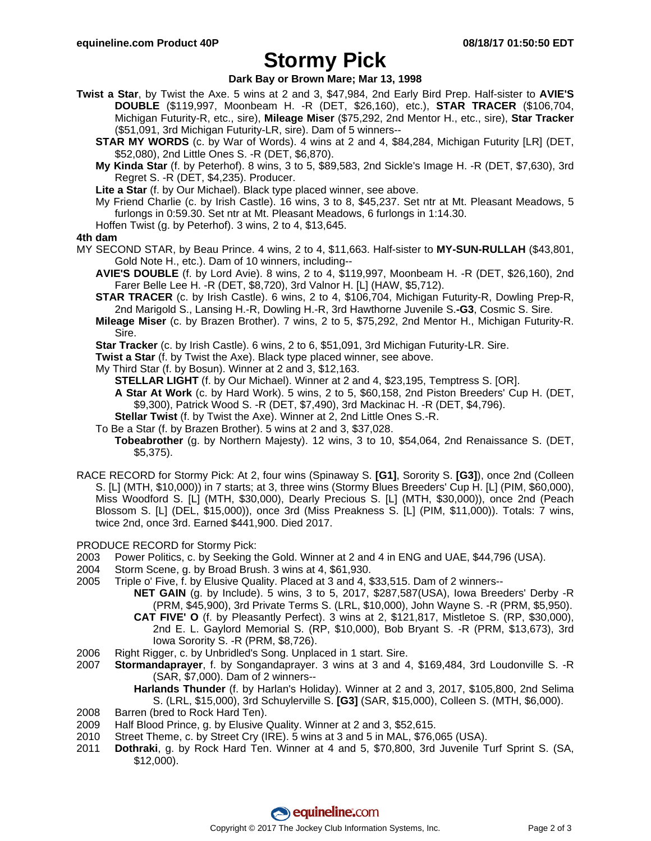## **Stormy Pick**

**Dark Bay or Brown Mare; Mar 13, 1998**

- **Twist a Star**, by Twist the Axe. 5 wins at 2 and 3, \$47,984, 2nd Early Bird Prep. Half-sister to **AVIE'S DOUBLE** (\$119,997, Moonbeam H. -R (DET, \$26,160), etc.), **STAR TRACER** (\$106,704, Michigan Futurity-R, etc., sire), **Mileage Miser** (\$75,292, 2nd Mentor H., etc., sire), **Star Tracker** (\$51,091, 3rd Michigan Futurity-LR, sire). Dam of 5 winners--
	- **STAR MY WORDS** (c. by War of Words). 4 wins at 2 and 4, \$84,284, Michigan Futurity [LR] (DET, \$52,080), 2nd Little Ones S. -R (DET, \$6,870).
	- **My Kinda Star** (f. by Peterhof). 8 wins, 3 to 5, \$89,583, 2nd Sickle's Image H. -R (DET, \$7,630), 3rd Regret S. -R (DET, \$4,235). Producer.
	- **Lite a Star** (f. by Our Michael). Black type placed winner, see above.
	- My Friend Charlie (c. by Irish Castle). 16 wins, 3 to 8, \$45,237. Set ntr at Mt. Pleasant Meadows, 5 furlongs in 0:59.30. Set ntr at Mt. Pleasant Meadows, 6 furlongs in 1:14.30.
	- Hoffen Twist (g. by Peterhof). 3 wins, 2 to 4, \$13,645.

### **4th dam**

- MY SECOND STAR, by Beau Prince. 4 wins, 2 to 4, \$11,663. Half-sister to **MY-SUN-RULLAH** (\$43,801, Gold Note H., etc.). Dam of 10 winners, including--
	- **AVIE'S DOUBLE** (f. by Lord Avie). 8 wins, 2 to 4, \$119,997, Moonbeam H. -R (DET, \$26,160), 2nd Farer Belle Lee H. -R (DET, \$8,720), 3rd Valnor H. [L] (HAW, \$5,712).
	- **STAR TRACER** (c. by Irish Castle). 6 wins, 2 to 4, \$106,704, Michigan Futurity-R, Dowling Prep-R, 2nd Marigold S., Lansing H.-R, Dowling H.-R, 3rd Hawthorne Juvenile S.**-G3**, Cosmic S. Sire.
	- **Mileage Miser** (c. by Brazen Brother). 7 wins, 2 to 5, \$75,292, 2nd Mentor H., Michigan Futurity-R. Sire.
	- **Star Tracker** (c. by Irish Castle). 6 wins, 2 to 6, \$51,091, 3rd Michigan Futurity-LR. Sire.
	- **Twist a Star** (f. by Twist the Axe). Black type placed winner, see above.
	- My Third Star (f. by Bosun). Winner at 2 and 3, \$12,163.
		- **STELLAR LIGHT** (f. by Our Michael). Winner at 2 and 4, \$23,195, Temptress S. [OR].
		- **A Star At Work** (c. by Hard Work). 5 wins, 2 to 5, \$60,158, 2nd Piston Breeders' Cup H. (DET, \$9,300), Patrick Wood S. -R (DET, \$7,490), 3rd Mackinac H. -R (DET, \$4,796).
		- **Stellar Twist** (f. by Twist the Axe). Winner at 2, 2nd Little Ones S.-R.
	- To Be a Star (f. by Brazen Brother). 5 wins at 2 and 3, \$37,028.
		- **Tobeabrother** (g. by Northern Majesty). 12 wins, 3 to 10, \$54,064, 2nd Renaissance S. (DET, \$5,375).
- RACE RECORD for Stormy Pick: At 2, four wins (Spinaway S. **[G1]**, Sorority S. **[G3]**), once 2nd (Colleen S. [L] (MTH, \$10,000)) in 7 starts; at 3, three wins (Stormy Blues Breeders' Cup H. [L] (PIM, \$60,000), Miss Woodford S. [L] (MTH, \$30,000), Dearly Precious S. [L] (MTH, \$30,000)), once 2nd (Peach Blossom S. [L] (DEL, \$15,000)), once 3rd (Miss Preakness S. [L] (PIM, \$11,000)). Totals: 7 wins, twice 2nd, once 3rd. Earned \$441,900. Died 2017.

PRODUCE RECORD for Stormy Pick:

- 2003 Power Politics, c. by Seeking the Gold. Winner at 2 and 4 in ENG and UAE, \$44,796 (USA).
- 2004 Storm Scene, g. by Broad Brush. 3 wins at 4, \$61,930.
- 2005 Triple o' Five, f. by Elusive Quality. Placed at 3 and 4, \$33,515. Dam of 2 winners--
	- **NET GAIN** (g. by Include). 5 wins, 3 to 5, 2017, \$287,587(USA), Iowa Breeders' Derby -R (PRM, \$45,900), 3rd Private Terms S. (LRL, \$10,000), John Wayne S. -R (PRM, \$5,950). **CAT FIVE' O** (f. by Pleasantly Perfect). 3 wins at 2, \$121,817, Mistletoe S. (RP, \$30,000), 2nd E. L. Gaylord Memorial S. (RP, \$10,000), Bob Bryant S. -R (PRM, \$13,673), 3rd Iowa Sorority S. -R (PRM, \$8,726).
- 2006 Right Rigger, c. by Unbridled's Song. Unplaced in 1 start. Sire.
- 2007 **Stormandaprayer**, f. by Songandaprayer. 3 wins at 3 and 4, \$169,484, 3rd Loudonville S. -R (SAR, \$7,000). Dam of 2 winners--
	- **Harlands Thunder** (f. by Harlan's Holiday). Winner at 2 and 3, 2017, \$105,800, 2nd Selima S. (LRL, \$15,000), 3rd Schuylerville S. **[G3]** (SAR, \$15,000), Colleen S. (MTH, \$6,000).
- 2008 Barren (bred to Rock Hard Ten).
- 2009 Half Blood Prince, g. by Elusive Quality. Winner at 2 and 3, \$52,615.
- 2010 Street Theme, c. by Street Cry (IRE). 5 wins at 3 and 5 in MAL, \$76,065 (USA).
- 2011 **Dothraki**, g. by Rock Hard Ten. Winner at 4 and 5, \$70,800, 3rd Juvenile Turf Sprint S. (SA, \$12,000).